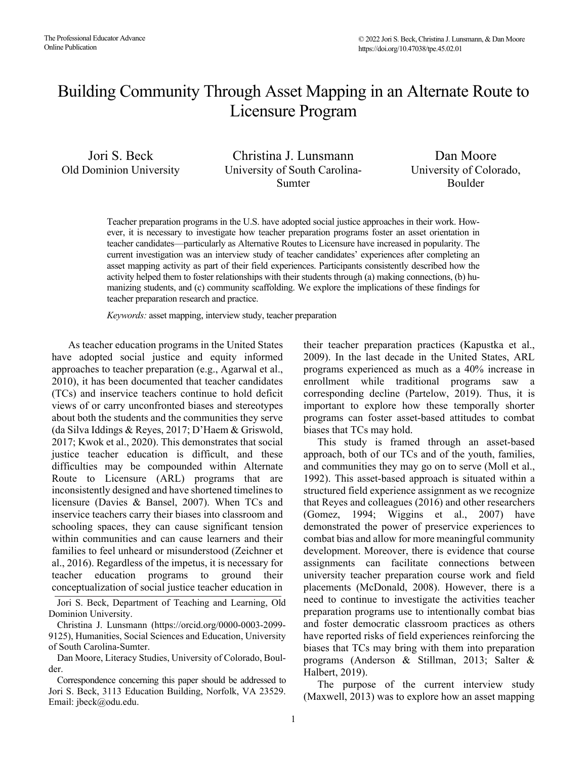# Building Community Through Asset Mapping in an Alternate Route to Licensure Program

Jori S. Beck Christina J. Lunsmann Dan Moore Old Dominion University University of South Carolina-Sumter

University of Colorado, Boulder

 current investigation was an interview study of teacher candidates' experiences after completing an Teacher preparation programs in the U.S. have adopted social justice approaches in their work. However, it is necessary to investigate how teacher preparation programs foster an asset orientation in teacher candidates—particularly as Alternative Routes to Licensure have increased in popularity. The asset mapping activity as part of their field experiences. Participants consistently described how the activity helped them to foster relationships with their students through (a) making connections, (b) humanizing students, and (c) community scaffolding. We explore the implications of these findings for teacher preparation research and practice.

*Keywords:* asset mapping, interview study, teacher preparation

As teacher education programs in the United States have adopted social justice and equity informed approaches to teacher preparation (e.g., Agarwal et al., 2010), it has been documented that teacher candidates (TCs) and inservice teachers continue to hold deficit views of or carry unconfronted biases and stereotypes about both the students and the communities they serve (da Silva Iddings & Reyes, 2017; D'Haem & Griswold, 2017; Kwok et al., 2020). This demonstrates that social justice teacher education is difficult, and these difficulties may be compounded within Alternate Route to Licensure (ARL) programs that are inconsistently designed and have shortened timelines to licensure (Davies & Bansel, 2007). When TCs and inservice teachers carry their biases into classroom and schooling spaces, they can cause significant tension within communities and can cause learners and their families to feel unheard or misunderstood (Zeichner et al., 2016). Regardless of the impetus, it is necessary for teacher education programs to ground their conceptualization of social justice teacher education in

 Jori S. Beck, Department of Teaching and Learning, Old Dominion University.

of South Carolina-Sumter. Christina J. Lunsmann [\(https://orcid.org/0000-0003-2099-](https://orcid.org/0000-0003-2099) 9125), Humanities, Social Sciences and Education, University

Dan Moore, Literacy Studies, University of Colorado, Boul-

 der. Correspondence concerning this paper should be addressed to Jori S. Beck, 3113 Education Building, Norfolk, VA 23529. Email: [jbeck@odu.edu.](mailto:jbeck@odu.edu)

their teacher preparation practices (Kapustka et al., 2009). In the last decade in the United States, ARL programs experienced as much as a 40% increase in enrollment while traditional programs saw a corresponding decline (Partelow, 2019). Thus, it is important to explore how these temporally shorter programs can foster asset-based attitudes to combat biases that TCs may hold.

This study is framed through an asset-based approach, both of our TCs and of the youth, families, and communities they may go on to serve (Moll et al., 1992). This asset-based approach is situated within a structured field experience assignment as we recognize that Reyes and colleagues (2016) and other researchers (Gomez, 1994; Wiggins et al., 2007) have demonstrated the power of preservice experiences to combat bias and allow for more meaningful community development. Moreover, there is evidence that course assignments can facilitate connections between university teacher preparation course work and field placements (McDonald, 2008). However, there is a need to continue to investigate the activities teacher preparation programs use to intentionally combat bias and foster democratic classroom practices as others have reported risks of field experiences reinforcing the biases that TCs may bring with them into preparation programs (Anderson & Stillman, 2013; Salter & Halbert, 2019).

The purpose of the current interview study (Maxwell, 2013) was to explore how an asset mapping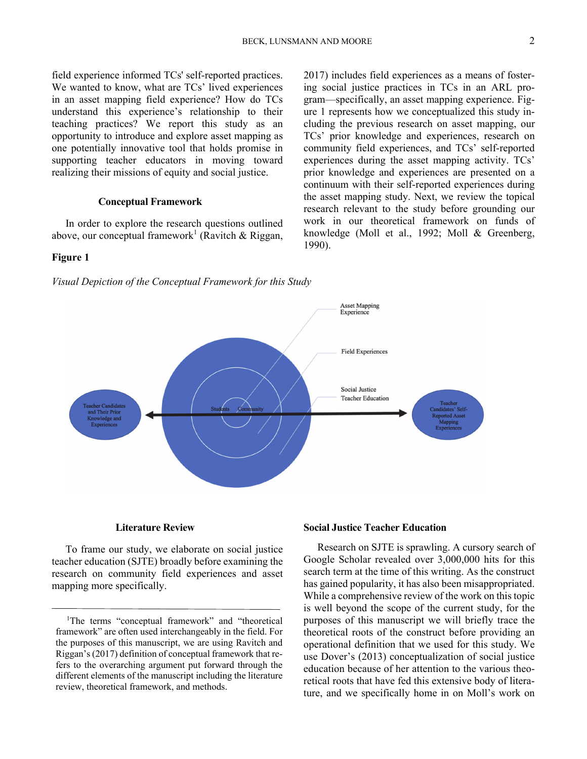field experience informed TCs' self-reported practices. We wanted to know, what are TCs' lived experiences in an asset mapping field experience? How do TCs understand this experience's relationship to their teaching practices? We report this study as an opportunity to introduce and explore asset mapping as one potentially innovative tool that holds promise in supporting teacher educators in moving toward realizing their missions of equity and social justice.

## **Conceptual Framework**

In order to explore the research questions outlined above, our conceptual framework<sup>1</sup> (Ravitch & Riggan,

## **Figure 1**





#### **Literature Review**

To frame our study, we elaborate on social justice teacher education (SJTE) broadly before examining the research on community field experiences and asset mapping more specifically.

## **Social Justice Teacher Education**

Research on SJTE is sprawling. A cursory search of Google Scholar revealed over 3,000,000 hits for this search term at the time of this writing. As the construct has gained popularity, it has also been misappropriated. While a comprehensive review of the work on this topic is well beyond the scope of the current study, for the purposes of this manuscript we will briefly trace the theoretical roots of the construct before providing an operational definition that we used for this study. We use Dover's (2013) conceptualization of social justice education because of her attention to the various theoretical roots that have fed this extensive body of literature, and we specifically home in on Moll's work on

2017) includes field experiences as a means of fostering social justice practices in TCs in an ARL program—specifically, an asset mapping experience. Figure 1 represents how we conceptualized this study including the previous research on asset mapping, our TCs' prior knowledge and experiences, research on community field experiences, and TCs' self-reported experiences during the asset mapping activity. TCs' prior knowledge and experiences are presented on a continuum with their self-reported experiences during the asset mapping study. Next, we review the topical

<sup>&</sup>lt;sup>1</sup>The terms "conceptual framework" and "theoretical framework" are often used interchangeably in the field. For the purposes of this manuscript, we are using Ravitch and Riggan's (2017) definition of conceptual framework that refers to the overarching argument put forward through the different elements of the manuscript including the literature review, theoretical framework, and methods.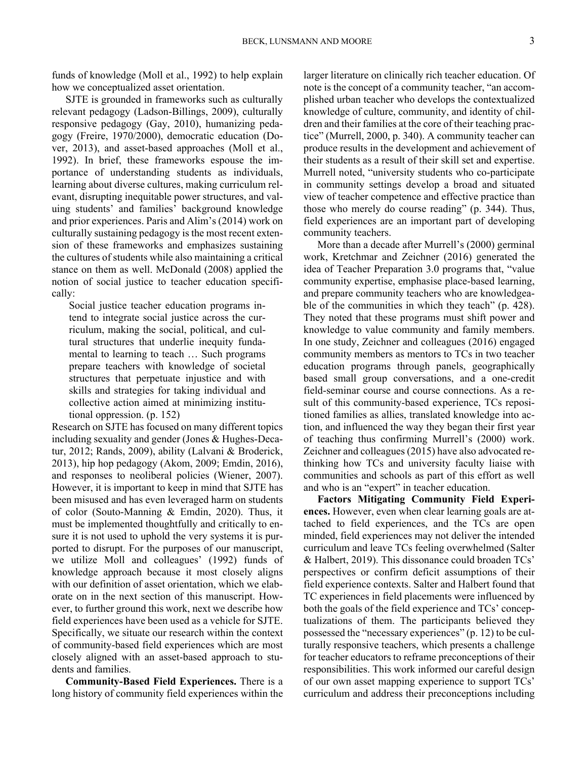funds of knowledge (Moll et al., 1992) to help explain how we conceptualized asset orientation.

SJTE is grounded in frameworks such as culturally relevant pedagogy (Ladson-Billings, 2009), culturally responsive pedagogy (Gay, 2010), humanizing pedagogy (Freire, 1970/2000), democratic education (Dover, 2013), and asset-based approaches (Moll et al., 1992). In brief, these frameworks espouse the importance of understanding students as individuals, learning about diverse cultures, making curriculum relevant, disrupting inequitable power structures, and valuing students' and families' background knowledge and prior experiences. Paris and Alim's (2014) work on culturally sustaining pedagogy is the most recent extension of these frameworks and emphasizes sustaining the cultures of students while also maintaining a critical stance on them as well. McDonald (2008) applied the notion of social justice to teacher education specifically:

Social justice teacher education programs intend to integrate social justice across the curriculum, making the social, political, and cultural structures that underlie inequity fundamental to learning to teach … Such programs prepare teachers with knowledge of societal structures that perpetuate injustice and with skills and strategies for taking individual and collective action aimed at minimizing institutional oppression. (p. 152)

Research on SJTE has focused on many different topics including sexuality and gender (Jones & Hughes-Decatur, 2012; Rands, 2009), ability (Lalvani & Broderick, 2013), hip hop pedagogy (Akom, 2009; Emdin, 2016), and responses to neoliberal policies (Wiener, 2007). However, it is important to keep in mind that SJTE has been misused and has even leveraged harm on students of color (Souto-Manning & Emdin, 2020). Thus, it must be implemented thoughtfully and critically to ensure it is not used to uphold the very systems it is purported to disrupt. For the purposes of our manuscript, we utilize Moll and colleagues' (1992) funds of knowledge approach because it most closely aligns with our definition of asset orientation, which we elaborate on in the next section of this manuscript. However, to further ground this work, next we describe how field experiences have been used as a vehicle for SJTE. Specifically, we situate our research within the context of community-based field experiences which are most closely aligned with an asset-based approach to students and families.

**Community-Based Field Experiences.** There is a long history of community field experiences within the larger literature on clinically rich teacher education. Of note is the concept of a community teacher, "an accomplished urban teacher who develops the contextualized knowledge of culture, community, and identity of children and their families at the core of their teaching practice" (Murrell, 2000, p. 340). A community teacher can produce results in the development and achievement of their students as a result of their skill set and expertise. Murrell noted, "university students who co-participate in community settings develop a broad and situated view of teacher competence and effective practice than those who merely do course reading" (p. 344). Thus, field experiences are an important part of developing community teachers.

More than a decade after Murrell's (2000) germinal work, Kretchmar and Zeichner (2016) generated the idea of Teacher Preparation 3.0 programs that, "value community expertise, emphasise place-based learning, and prepare community teachers who are knowledgeable of the communities in which they teach" (p. 428). They noted that these programs must shift power and knowledge to value community and family members. In one study, Zeichner and colleagues (2016) engaged community members as mentors to TCs in two teacher education programs through panels, geographically based small group conversations, and a one-credit field-seminar course and course connections. As a result of this community-based experience, TCs repositioned families as allies, translated knowledge into action, and influenced the way they began their first year of teaching thus confirming Murrell's (2000) work. Zeichner and colleagues (2015) have also advocated rethinking how TCs and university faculty liaise with communities and schools as part of this effort as well and who is an "expert" in teacher education.

**Factors Mitigating Community Field Experiences.** However, even when clear learning goals are attached to field experiences, and the TCs are open minded, field experiences may not deliver the intended curriculum and leave TCs feeling overwhelmed (Salter & Halbert, 2019). This dissonance could broaden TCs' perspectives or confirm deficit assumptions of their field experience contexts. Salter and Halbert found that TC experiences in field placements were influenced by both the goals of the field experience and TCs' conceptualizations of them. The participants believed they possessed the "necessary experiences" (p. 12) to be culturally responsive teachers, which presents a challenge for teacher educators to reframe preconceptions of their responsibilities. This work informed our careful design of our own asset mapping experience to support TCs' curriculum and address their preconceptions including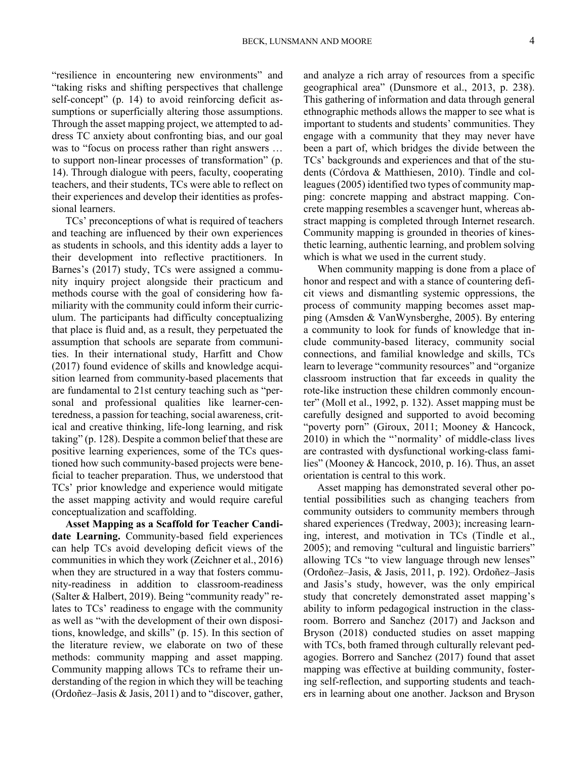"resilience in encountering new environments" and "taking risks and shifting perspectives that challenge self-concept" (p. 14) to avoid reinforcing deficit assumptions or superficially altering those assumptions. Through the asset mapping project, we attempted to address TC anxiety about confronting bias, and our goal was to "focus on process rather than right answers … to support non-linear processes of transformation" (p. 14). Through dialogue with peers, faculty, cooperating teachers, and their students, TCs were able to reflect on their experiences and develop their identities as professional learners.

TCs' preconceptions of what is required of teachers and teaching are influenced by their own experiences as students in schools, and this identity adds a layer to their development into reflective practitioners. In Barnes's (2017) study, TCs were assigned a community inquiry project alongside their practicum and methods course with the goal of considering how familiarity with the community could inform their curriculum. The participants had difficulty conceptualizing that place is fluid and, as a result, they perpetuated the assumption that schools are separate from communities. In their international study, Harfitt and Chow (2017) found evidence of skills and knowledge acquisition learned from community-based placements that are fundamental to 21st century teaching such as "personal and professional qualities like learner-centeredness, a passion for teaching, social awareness, critical and creative thinking, life-long learning, and risk taking" (p. 128). Despite a common belief that these are positive learning experiences, some of the TCs questioned how such community-based projects were beneficial to teacher preparation. Thus, we understood that TCs' prior knowledge and experience would mitigate the asset mapping activity and would require careful conceptualization and scaffolding.

**Asset Mapping as a Scaffold for Teacher Candidate Learning.** Community-based field experiences can help TCs avoid developing deficit views of the communities in which they work (Zeichner et al., 2016) when they are structured in a way that fosters community-readiness in addition to classroom-readiness (Salter & Halbert, 2019). Being "community ready" relates to TCs' readiness to engage with the community as well as "with the development of their own dispositions, knowledge, and skills" (p. 15). In this section of the literature review, we elaborate on two of these methods: community mapping and asset mapping. Community mapping allows TCs to reframe their understanding of the region in which they will be teaching (Ordoñez–Jasis & Jasis, 2011) and to "discover, gather,

and analyze a rich array of resources from a specific geographical area" (Dunsmore et al., 2013, p. 238). This gathering of information and data through general ethnographic methods allows the mapper to see what is important to students and students' communities. They engage with a community that they may never have been a part of, which bridges the divide between the TCs' backgrounds and experiences and that of the students (Córdova & Matthiesen, 2010). Tindle and colleagues (2005) identified two types of community mapping: concrete mapping and abstract mapping. Concrete mapping resembles a scavenger hunt, whereas abstract mapping is completed through Internet research. Community mapping is grounded in theories of kinesthetic learning, authentic learning, and problem solving which is what we used in the current study.

When community mapping is done from a place of honor and respect and with a stance of countering deficit views and dismantling systemic oppressions, the process of community mapping becomes asset mapping (Amsden & VanWynsberghe, 2005). By entering a community to look for funds of knowledge that include community-based literacy, community social connections, and familial knowledge and skills, TCs learn to leverage "community resources" and "organize classroom instruction that far exceeds in quality the rote-like instruction these children commonly encounter" (Moll et al., 1992, p. 132). Asset mapping must be carefully designed and supported to avoid becoming "poverty porn" (Giroux, 2011; Mooney & Hancock, 2010) in which the "'normality' of middle-class lives are contrasted with dysfunctional working-class families" (Mooney & Hancock, 2010, p. 16). Thus, an asset orientation is central to this work.

Asset mapping has demonstrated several other potential possibilities such as changing teachers from community outsiders to community members through shared experiences (Tredway, 2003); increasing learning, interest, and motivation in TCs (Tindle et al., 2005); and removing "cultural and linguistic barriers" allowing TCs "to view language through new lenses" (Ordoñez–Jasis, & Jasis, 2011, p. 192). Ordoñez–Jasis and Jasis's study, however, was the only empirical study that concretely demonstrated asset mapping's ability to inform pedagogical instruction in the classroom. Borrero and Sanchez (2017) and Jackson and Bryson (2018) conducted studies on asset mapping with TCs, both framed through culturally relevant pedagogies. Borrero and Sanchez (2017) found that asset mapping was effective at building community, fostering self-reflection, and supporting students and teachers in learning about one another. Jackson and Bryson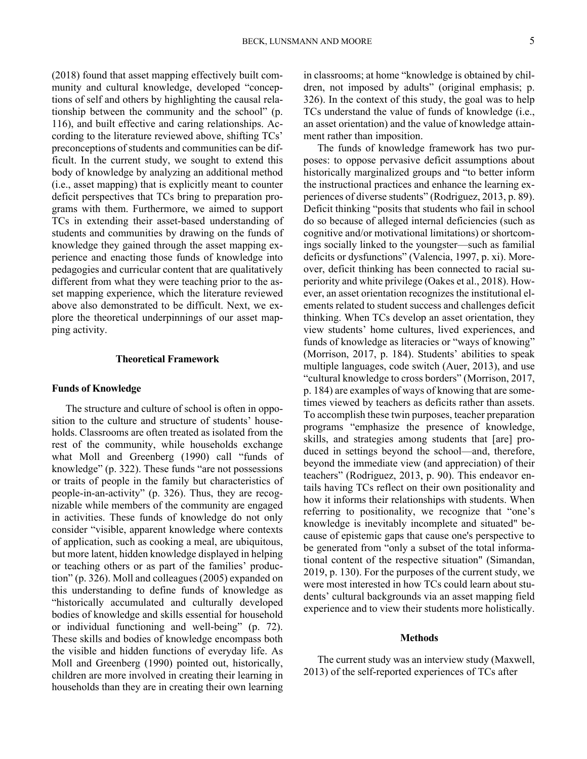(2018) found that asset mapping effectively built community and cultural knowledge, developed "conceptions of self and others by highlighting the causal relationship between the community and the school" (p. 116), and built effective and caring relationships. According to the literature reviewed above, shifting TCs' preconceptions of students and communities can be difficult. In the current study, we sought to extend this body of knowledge by analyzing an additional method (i.e., asset mapping) that is explicitly meant to counter deficit perspectives that TCs bring to preparation programs with them. Furthermore, we aimed to support TCs in extending their asset-based understanding of students and communities by drawing on the funds of knowledge they gained through the asset mapping experience and enacting those funds of knowledge into pedagogies and curricular content that are qualitatively different from what they were teaching prior to the asset mapping experience, which the literature reviewed above also demonstrated to be difficult. Next, we explore the theoretical underpinnings of our asset mapping activity.

## **Theoretical Framework**

## **Funds of Knowledge**

The structure and culture of school is often in opposition to the culture and structure of students' households. Classrooms are often treated as isolated from the rest of the community, while households exchange what Moll and Greenberg (1990) call "funds of knowledge" (p. 322). These funds "are not possessions or traits of people in the family but characteristics of people-in-an-activity" (p. 326). Thus, they are recognizable while members of the community are engaged in activities. These funds of knowledge do not only consider "visible, apparent knowledge where contexts of application, such as cooking a meal, are ubiquitous, but more latent, hidden knowledge displayed in helping or teaching others or as part of the families' production" (p. 326). Moll and colleagues (2005) expanded on this understanding to define funds of knowledge as "historically accumulated and culturally developed bodies of knowledge and skills essential for household or individual functioning and well-being" (p. 72). These skills and bodies of knowledge encompass both the visible and hidden functions of everyday life. As Moll and Greenberg (1990) pointed out, historically, children are more involved in creating their learning in households than they are in creating their own learning

in classrooms; at home "knowledge is obtained by children, not imposed by adults" (original emphasis; p. 326). In the context of this study, the goal was to help TCs understand the value of funds of knowledge (i.e., an asset orientation) and the value of knowledge attainment rather than imposition.

The funds of knowledge framework has two purposes: to oppose pervasive deficit assumptions about historically marginalized groups and "to better inform the instructional practices and enhance the learning experiences of diverse students" (Rodriguez, 2013, p. 89). Deficit thinking "posits that students who fail in school do so because of alleged internal deficiencies (such as cognitive and/or motivational limitations) or shortcomings socially linked to the youngster—such as familial deficits or dysfunctions" (Valencia, 1997, p. xi). Moreover, deficit thinking has been connected to racial superiority and white privilege (Oakes et al., 2018). However, an asset orientation recognizes the institutional elements related to student success and challenges deficit thinking. When TCs develop an asset orientation, they view students' home cultures, lived experiences, and funds of knowledge as literacies or "ways of knowing" (Morrison, 2017, p. 184). Students' abilities to speak multiple languages, code switch (Auer, 2013), and use "cultural knowledge to cross borders" (Morrison, 2017, p. 184) are examples of ways of knowing that are sometimes viewed by teachers as deficits rather than assets. To accomplish these twin purposes, teacher preparation programs "emphasize the presence of knowledge, skills, and strategies among students that [are] produced in settings beyond the school—and, therefore, beyond the immediate view (and appreciation) of their teachers" (Rodriguez, 2013, p. 90). This endeavor entails having TCs reflect on their own positionality and how it informs their relationships with students. When referring to positionality, we recognize that "one's knowledge is inevitably incomplete and situated" because of epistemic gaps that cause one's perspective to be generated from "only a subset of the total informational content of the respective situation" (Simandan, 2019, p. 130). For the purposes of the current study, we were most interested in how TCs could learn about students' cultural backgrounds via an asset mapping field experience and to view their students more holistically.

## **Methods**

The current study was an interview study (Maxwell, 2013) of the self-reported experiences of TCs after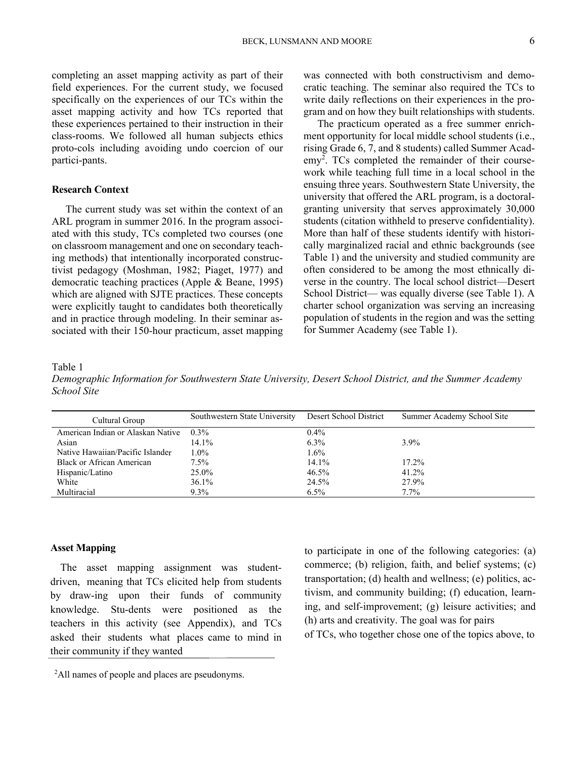completing an asset mapping activity as part of their field experiences. For the current study, we focused specifically on the experiences of our TCs within the asset mapping activity and how TCs reported that these experiences pertained to their instruction in their class-rooms. We followed all human subjects ethics proto-cols including avoiding undo coercion of our partici-pants.

## **Research Context**

The current study was set within the context of an ARL program in summer 2016. In the program associated with this study, TCs completed two courses (one on classroom management and one on secondary teaching methods) that intentionally incorporated constructivist pedagogy (Moshman, 1982; Piaget, 1977) and democratic teaching practices (Apple & Beane, 1995) which are aligned with SJTE practices. These concepts were explicitly taught to candidates both theoretically and in practice through modeling. In their seminar associated with their 150-hour practicum, asset mapping was connected with both constructivism and democratic teaching. The seminar also required the TCs to write daily reflections on their experiences in the program and on how they built relationships with students.

The practicum operated as a free summer enrichment opportunity for local middle school students (i.e., rising Grade 6, 7, and 8 students) called Summer Acad- $\text{emy}^2$ . TCs completed the remainder of their coursework while teaching full time in a local school in the ensuing three years. Southwestern State University, the university that offered the ARL program, is a doctoralgranting university that serves approximately 30,000 students (citation withheld to preserve confidentiality). More than half of these students identify with historically marginalized racial and ethnic backgrounds (see Table 1) and the university and studied community are often considered to be among the most ethnically diverse in the country. The local school district—Desert School District— was equally diverse (see Table 1). A charter school organization was serving an increasing population of students in the region and was the setting for Summer Academy (see Table 1).

Table 1

*Demographic Information for Southwestern State University, Desert School District, and the Summer Academy School Site* 

| Cultural Group                    | Southwestern State University | Desert School District | Summer Academy School Site |
|-----------------------------------|-------------------------------|------------------------|----------------------------|
| American Indian or Alaskan Native | $0.3\%$                       | $0.4\%$                |                            |
| Asian                             | 14.1%                         | $6.3\%$                | $3.9\%$                    |
| Native Hawaiian/Pacific Islander  | $1.0\%$                       | $1.6\%$                |                            |
| Black or African American         | $7.5\%$                       | $14.1\%$               | $17.2\%$                   |
| Hispanic/Latino                   | 25.0%                         | 46.5%                  | 41.2%                      |
| White                             | $36.1\%$                      | 24.5%                  | 27.9%                      |
| Multiracial                       | $9.3\%$                       | $6.5\%$                | $7.7\%$                    |

## **Asset Mapping**

The asset mapping assignment was studentdriven, meaning that TCs elicited help from students by draw-ing upon their funds of community knowledge. Stu-dents were positioned as the teachers in this activity (see Appendix), and TCs asked their students what places came to mind in their community if they wanted

to participate in one of the following categories: (a) commerce; (b) religion, faith, and belief systems; (c) transportation; (d) health and wellness; (e) politics, activism, and community building; (f) education, learning, and self-improvement; (g) leisure activities; and (h) arts and creativity. The goal was for pairs of TCs, who together chose one of the topics above, to

<sup>2</sup>All names of people and places are pseudonyms.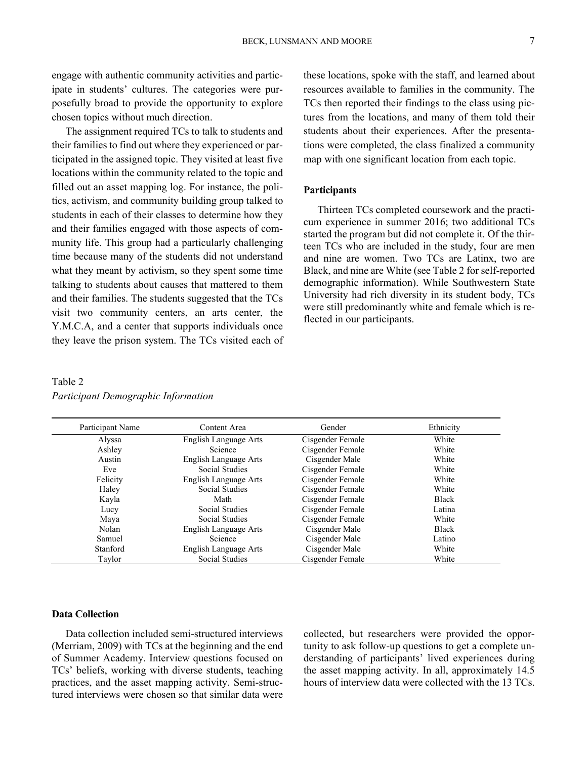engage with authentic community activities and participate in students' cultures. The categories were purposefully broad to provide the opportunity to explore chosen topics without much direction.

The assignment required TCs to talk to students and their families to find out where they experienced or participated in the assigned topic. They visited at least five locations within the community related to the topic and filled out an asset mapping log. For instance, the politics, activism, and community building group talked to students in each of their classes to determine how they and their families engaged with those aspects of community life. This group had a particularly challenging time because many of the students did not understand what they meant by activism, so they spent some time talking to students about causes that mattered to them and their families. The students suggested that the TCs visit two community centers, an arts center, the Y.M.C.A, and a center that supports individuals once they leave the prison system. The TCs visited each of

## TCs then reported their findings to the class using pictures from the locations, and many of them told their students about their experiences. After the presentations were completed, the class finalized a community map with one significant location from each topic.

these locations, spoke with the staff, and learned about resources available to families in the community. The

## **Participants**

Thirteen TCs completed coursework and the practicum experience in summer 2016; two additional TCs started the program but did not complete it. Of the thirteen TCs who are included in the study, four are men and nine are women. Two TCs are Latinx, two are Black, and nine are White (see Table 2 for self-reported demographic information). While Southwestern State University had rich diversity in its student body, TCs were still predominantly white and female which is reflected in our participants.

## Table 2 *Participant Demographic Information*

| Participant Name | Content Area          | Gender           | Ethnicity    |
|------------------|-----------------------|------------------|--------------|
| Alyssa           | English Language Arts | Cisgender Female | White        |
| Ashley           | <b>Science</b>        | Cisgender Female | White        |
| Austin           | English Language Arts | Cisgender Male   | White        |
| Eve              | <b>Social Studies</b> | Cisgender Female | White        |
| Felicity         | English Language Arts | Cisgender Female | White        |
| Haley            | <b>Social Studies</b> | Cisgender Female | White        |
| Kayla            | Math                  | Cisgender Female | Black        |
| Lucy             | Social Studies        | Cisgender Female | Latina       |
| Maya             | Social Studies        | Cisgender Female | White        |
| Nolan            | English Language Arts | Cisgender Male   | <b>Black</b> |
| Samuel           | Science               | Cisgender Male   | Latino       |
| Stanford         | English Language Arts | Cisgender Male   | White        |
| Taylor           | Social Studies        | Cisgender Female | White        |

## **Data Collection**

Data collection included semi-structured interviews (Merriam, 2009) with TCs at the beginning and the end of Summer Academy. Interview questions focused on TCs' beliefs, working with diverse students, teaching practices, and the asset mapping activity. Semi-structured interviews were chosen so that similar data were collected, but researchers were provided the opportunity to ask follow-up questions to get a complete understanding of participants' lived experiences during the asset mapping activity. In all, approximately 14.5 hours of interview data were collected with the 13 TCs.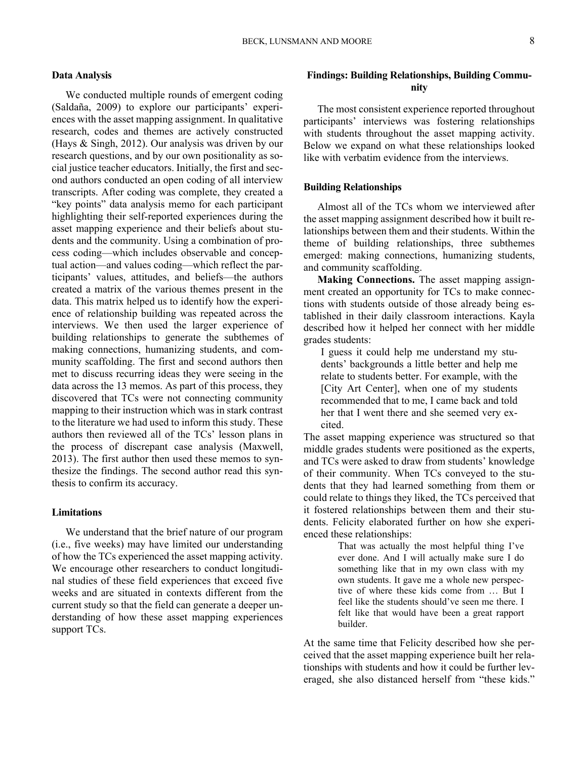## **Data Analysis**

We conducted multiple rounds of emergent coding (Saldaña, 2009) to explore our participants' experiences with the asset mapping assignment. In qualitative research, codes and themes are actively constructed (Hays & Singh, 2012). Our analysis was driven by our research questions, and by our own positionality as social justice teacher educators. Initially, the first and second authors conducted an open coding of all interview transcripts. After coding was complete, they created a "key points" data analysis memo for each participant highlighting their self-reported experiences during the asset mapping experience and their beliefs about students and the community. Using a combination of process coding—which includes observable and conceptual action—and values coding—which reflect the participants' values, attitudes, and beliefs—the authors created a matrix of the various themes present in the data. This matrix helped us to identify how the experience of relationship building was repeated across the interviews. We then used the larger experience of building relationships to generate the subthemes of making connections, humanizing students, and community scaffolding. The first and second authors then met to discuss recurring ideas they were seeing in the data across the 13 memos. As part of this process, they discovered that TCs were not connecting community mapping to their instruction which was in stark contrast to the literature we had used to inform this study. These authors then reviewed all of the TCs' lesson plans in the process of discrepant case analysis (Maxwell, 2013). The first author then used these memos to synthesize the findings. The second author read this synthesis to confirm its accuracy.

## **Limitations**

We understand that the brief nature of our program (i.e., five weeks) may have limited our understanding of how the TCs experienced the asset mapping activity. We encourage other researchers to conduct longitudinal studies of these field experiences that exceed five weeks and are situated in contexts different from the current study so that the field can generate a deeper understanding of how these asset mapping experiences support TCs.

## **Findings: Building Relationships, Building Community**

The most consistent experience reported throughout participants' interviews was fostering relationships with students throughout the asset mapping activity. Below we expand on what these relationships looked like with verbatim evidence from the interviews.

#### **Building Relationships**

Almost all of the TCs whom we interviewed after the asset mapping assignment described how it built relationships between them and their students. Within the theme of building relationships, three subthemes emerged: making connections, humanizing students, and community scaffolding.

**Making Connections.** The asset mapping assignment created an opportunity for TCs to make connections with students outside of those already being established in their daily classroom interactions. Kayla described how it helped her connect with her middle grades students:

I guess it could help me understand my students' backgrounds a little better and help me relate to students better. For example, with the [City Art Center], when one of my students recommended that to me, I came back and told her that I went there and she seemed very excited.

The asset mapping experience was structured so that middle grades students were positioned as the experts, and TCs were asked to draw from students' knowledge of their community. When TCs conveyed to the students that they had learned something from them or could relate to things they liked, the TCs perceived that it fostered relationships between them and their students. Felicity elaborated further on how she experienced these relationships:

> That was actually the most helpful thing I've ever done. And I will actually make sure I do something like that in my own class with my own students. It gave me a whole new perspective of where these kids come from … But I feel like the students should've seen me there. I felt like that would have been a great rapport builder.

At the same time that Felicity described how she perceived that the asset mapping experience built her relationships with students and how it could be further leveraged, she also distanced herself from "these kids."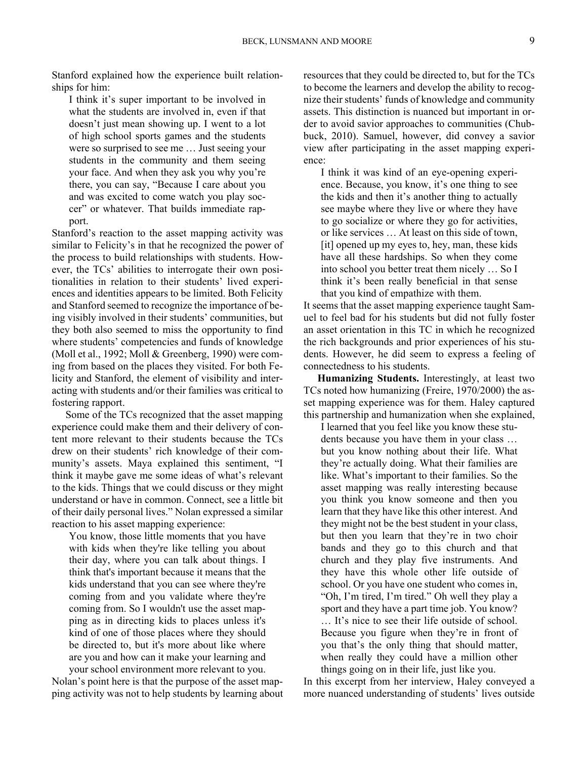Stanford explained how the experience built relationships for him:

I think it's super important to be involved in what the students are involved in, even if that doesn't just mean showing up. I went to a lot of high school sports games and the students were so surprised to see me … Just seeing your students in the community and them seeing your face. And when they ask you why you're there, you can say, "Because I care about you and was excited to come watch you play soccer" or whatever. That builds immediate rapport.

Stanford's reaction to the asset mapping activity was similar to Felicity's in that he recognized the power of the process to build relationships with students. However, the TCs' abilities to interrogate their own positionalities in relation to their students' lived experiences and identities appears to be limited. Both Felicity and Stanford seemed to recognize the importance of being visibly involved in their students' communities, but they both also seemed to miss the opportunity to find where students' competencies and funds of knowledge (Moll et al., 1992; Moll & Greenberg, 1990) were coming from based on the places they visited. For both Felicity and Stanford, the element of visibility and interacting with students and/or their families was critical to fostering rapport.

Some of the TCs recognized that the asset mapping experience could make them and their delivery of content more relevant to their students because the TCs drew on their students' rich knowledge of their community's assets. Maya explained this sentiment, "I think it maybe gave me some ideas of what's relevant to the kids. Things that we could discuss or they might understand or have in common. Connect, see a little bit of their daily personal lives." Nolan expressed a similar reaction to his asset mapping experience:

your school environment more relevant to you. You know, those little moments that you have with kids when they're like telling you about their day, where you can talk about things. I think that's important because it means that the kids understand that you can see where they're coming from and you validate where they're coming from. So I wouldn't use the asset mapping as in directing kids to places unless it's kind of one of those places where they should be directed to, but it's more about like where are you and how can it make your learning and

Nolan's point here is that the purpose of the asset mapping activity was not to help students by learning about resources that they could be directed to, but for the TCs to become the learners and develop the ability to recognize their students' funds of knowledge and community assets. This distinction is nuanced but important in order to avoid savior approaches to communities (Chubbuck, 2010). Samuel, however, did convey a savior view after participating in the asset mapping experience:

I think it was kind of an eye-opening experience. Because, you know, it's one thing to see the kids and then it's another thing to actually see maybe where they live or where they have to go socialize or where they go for activities, or like services … At least on this side of town, [it] opened up my eyes to, hey, man, these kids have all these hardships. So when they come into school you better treat them nicely … So I think it's been really beneficial in that sense that you kind of empathize with them.

It seems that the asset mapping experience taught Samuel to feel bad for his students but did not fully foster an asset orientation in this TC in which he recognized the rich backgrounds and prior experiences of his students. However, he did seem to express a feeling of connectedness to his students.

 this partnership and humanization when she explained, I learned that you feel like you know these stu-**Humanizing Students.** Interestingly, at least two TCs noted how humanizing (Freire, 1970/2000) the asset mapping experience was for them. Haley captured

dents because you have them in your class … but you know nothing about their life. What they're actually doing. What their families are like. What's important to their families. So the asset mapping was really interesting because you think you know someone and then you learn that they have like this other interest. And they might not be the best student in your class, but then you learn that they're in two choir bands and they go to this church and that church and they play five instruments. And they have this whole other life outside of school. Or you have one student who comes in, "Oh, I'm tired, I'm tired." Oh well they play a sport and they have a part time job. You know? … It's nice to see their life outside of school. Because you figure when they're in front of you that's the only thing that should matter, when really they could have a million other things going on in their life, just like you.

In this excerpt from her interview, Haley conveyed a more nuanced understanding of students' lives outside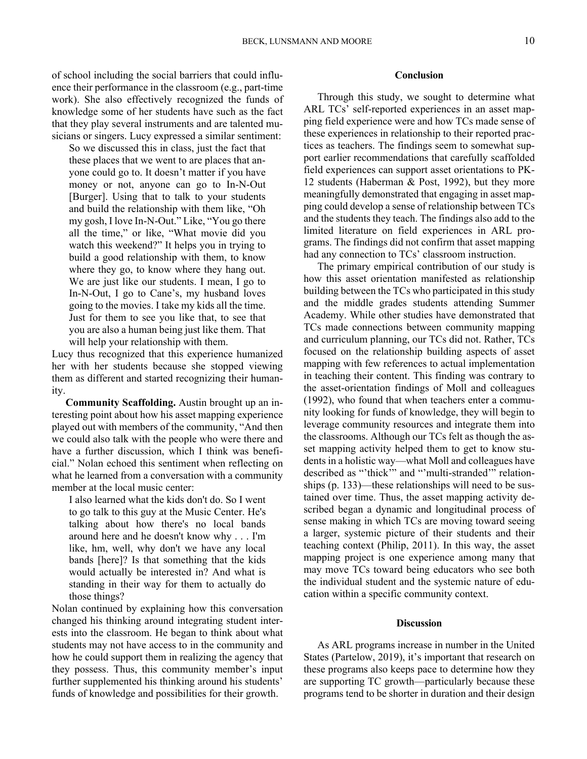of school including the social barriers that could influence their performance in the classroom (e.g., part-time work). She also effectively recognized the funds of knowledge some of her students have such as the fact that they play several instruments and are talented musicians or singers. Lucy expressed a similar sentiment:

So we discussed this in class, just the fact that these places that we went to are places that anyone could go to. It doesn't matter if you have money or not, anyone can go to In-N-Out [Burger]. Using that to talk to your students and build the relationship with them like, "Oh my gosh, I love In-N-Out." Like, "You go there all the time," or like, "What movie did you watch this weekend?" It helps you in trying to build a good relationship with them, to know where they go, to know where they hang out. We are just like our students. I mean, I go to In-N-Out, I go to Cane's, my husband loves going to the movies. I take my kids all the time. Just for them to see you like that, to see that you are also a human being just like them. That will help your relationship with them.

Lucy thus recognized that this experience humanized her with her students because she stopped viewing them as different and started recognizing their humanity.

**Community Scaffolding.** Austin brought up an interesting point about how his asset mapping experience played out with members of the community, "And then we could also talk with the people who were there and have a further discussion, which I think was beneficial." Nolan echoed this sentiment when reflecting on what he learned from a conversation with a community member at the local music center:

I also learned what the kids don't do. So I went to go talk to this guy at the Music Center. He's talking about how there's no local bands around here and he doesn't know why . . . I'm like, hm, well, why don't we have any local bands [here]? Is that something that the kids would actually be interested in? And what is standing in their way for them to actually do those things?

Nolan continued by explaining how this conversation changed his thinking around integrating student interests into the classroom. He began to think about what students may not have access to in the community and how he could support them in realizing the agency that they possess. Thus, this community member's input further supplemented his thinking around his students' funds of knowledge and possibilities for their growth.

## **Conclusion**

Through this study, we sought to determine what ARL TCs' self-reported experiences in an asset mapping field experience were and how TCs made sense of these experiences in relationship to their reported practices as teachers. The findings seem to somewhat support earlier recommendations that carefully scaffolded field experiences can support asset orientations to PK-12 students (Haberman & Post, 1992), but they more meaningfully demonstrated that engaging in asset mapping could develop a sense of relationship between TCs and the students they teach. The findings also add to the limited literature on field experiences in ARL programs. The findings did not confirm that asset mapping had any connection to TCs' classroom instruction.

The primary empirical contribution of our study is how this asset orientation manifested as relationship building between the TCs who participated in this study and the middle grades students attending Summer Academy. While other studies have demonstrated that TCs made connections between community mapping and curriculum planning, our TCs did not. Rather, TCs focused on the relationship building aspects of asset mapping with few references to actual implementation in teaching their content. This finding was contrary to the asset-orientation findings of Moll and colleagues (1992), who found that when teachers enter a community looking for funds of knowledge, they will begin to leverage community resources and integrate them into the classrooms. Although our TCs felt as though the asset mapping activity helped them to get to know students in a holistic way—what Moll and colleagues have described as "'thick'" and "'multi-stranded'" relationships (p. 133)—these relationships will need to be sustained over time. Thus, the asset mapping activity described began a dynamic and longitudinal process of sense making in which TCs are moving toward seeing a larger, systemic picture of their students and their teaching context (Philip, 2011). In this way, the asset mapping project is one experience among many that may move TCs toward being educators who see both the individual student and the systemic nature of education within a specific community context.

#### **Discussion**

As ARL programs increase in number in the United States (Partelow, 2019), it's important that research on these programs also keeps pace to determine how they are supporting TC growth—particularly because these programs tend to be shorter in duration and their design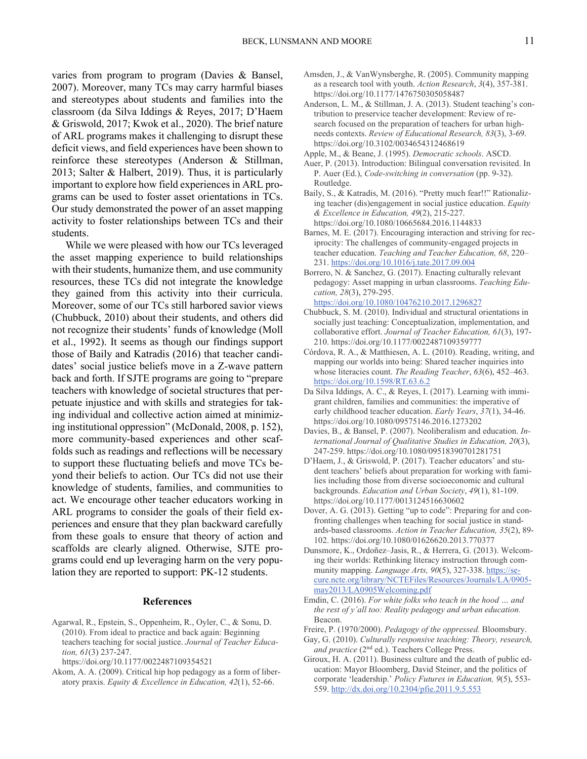varies from program to program (Davies & Bansel, 2007). Moreover, many TCs may carry harmful biases and stereotypes about students and families into the classroom (da Silva Iddings & Reyes, 2017; D'Haem & Griswold, 2017; Kwok et al., 2020). The brief nature of ARL programs makes it challenging to disrupt these deficit views, and field experiences have been shown to reinforce these stereotypes (Anderson & Stillman, 2013; Salter & Halbert, 2019). Thus, it is particularly important to explore how field experiences in ARL programs can be used to foster asset orientations in TCs. Our study demonstrated the power of an asset mapping activity to foster relationships between TCs and their students.

While we were pleased with how our TCs leveraged the asset mapping experience to build relationships with their students, humanize them, and use community resources, these TCs did not integrate the knowledge they gained from this activity into their curricula. Moreover, some of our TCs still harbored savior views (Chubbuck, 2010) about their students, and others did not recognize their students' funds of knowledge (Moll et al., 1992). It seems as though our findings support those of Baily and Katradis (2016) that teacher candidates' social justice beliefs move in a Z-wave pattern back and forth. If SJTE programs are going to "prepare teachers with knowledge of societal structures that perpetuate injustice and with skills and strategies for taking individual and collective action aimed at minimizing institutional oppression" (McDonald, 2008, p. 152), more community-based experiences and other scaffolds such as readings and reflections will be necessary to support these fluctuating beliefs and move TCs beyond their beliefs to action. Our TCs did not use their knowledge of students, families, and communities to act. We encourage other teacher educators working in ARL programs to consider the goals of their field experiences and ensure that they plan backward carefully from these goals to ensure that theory of action and scaffolds are clearly aligned. Otherwise, SJTE programs could end up leveraging harm on the very population they are reported to support: PK-12 students.

## **References**

Agarwal, R., Epstein, S., Oppenheim, R., Oyler, C., & Sonu, D. (2010). From ideal to practice and back again: Beginning teachers teaching for social justice. *Journal of Teacher Education, 61*(3) 237-247.

Akom, A. A. (2009). Critical hip hop pedagogy as a form of liberatory praxis. *Equity & Excellence in Education, 42*(1), 52-66.

- Amsden, J., & VanWynsberghe, R. (2005). Community mapping as a research tool with youth. *Action Research*, *3*(4), 357-381. <https://doi.org/10.1177/1476750305058487>
- Anderson, L. M., & Stillman, J. A. (2013). Student teaching's contribution to preservice teacher development: Review of research focused on the preparation of teachers for urban highneeds contexts. *Review of Educational Research, 83*(3), 3-69. <https://doi.org/10.3102/0034654312468619>
- Apple, M., & Beane, J. (1995). *Democratic schools*. ASCD.
- Auer, P. (2013). Introduction: Bilingual conversation revisited. In P. Auer (Ed.), *Code-switching in conversation* (pp. 9-32). Routledge.
- Baily, S., & Katradis, M. (2016). "Pretty much fear!!" Rationalizing teacher (dis)engagement in social justice education. *Equity & Excellence in Education, 49*(2), 215-227. <https://doi.org/10.1080/10665684.2016.1144833>
- iprocity: The challenges of community-engaged projects in 231. <https://doi.org/10.1016/j.tate.2017.09.004> Barnes, M. E. (2017). Encouraging interaction and striving for recteacher education. *Teaching and Teacher Education, 68*, 220–
- Borrero, N. & Sanchez, G. (2017). Enacting culturally relevant pedagogy: Asset mapping in urban classrooms. *Teaching Education, 28*(3), 279-295. <https://doi.org/10.1080/10476210.2017.1296827>
- Chubbuck, S. M. (2010). Individual and structural orientations in socially just teaching: Conceptualization, implementation, and collaborative effort. *Journal of Teacher Education, 61*(3), 197- 210. <https://doi.org/10.1177/0022487109359777>
- https://doi.org/10.1598/RT.63.6.2 Córdova, R. A., & Matthiesen, A. L. (2010). Reading, writing, and mapping our worlds into being: Shared teacher inquiries into whose literacies count. *The Reading Teacher*, *63*(6), 452–463.
- Da [Silva Iddings, A. C., & Reyes, I. \(](https://doi.org/10.1598/RT.63.6.2)2017). Learning with immigrant children, families and communities: the imperative of early childhood teacher education. *Early Years*, *37*(1), 34-46. <https://doi.org/10.1080/09575146.2016.1273202>
- Davies, B., & Bansel, P. (2007). Neoliberalism and education. *International Journal of Qualitative Studies in Education, 20*(3), 247-259.<https://doi.org/10.1080/09518390701281751>
- D'Haem, J., & Griswold, P. (2017). Teacher educators' and student teachers' beliefs about preparation for working with families including those from diverse socioeconomic and cultural backgrounds. *Education and Urban Society*, *49*(1), 81-109. <https://doi.org/10.1177/0013124516630602>
- Dover, A. G. (2013). Getting "up to code": Preparing for and confronting challenges when teaching for social justice in standards-based classrooms. *Action in Teacher Education, 35*(2), 89- 102. <https://doi.org/10.1080/01626620.2013.770377>
- may2013/LA0905Welcoming.pdf Dunsmore, K., Ordoñez–Jasis, R., & Herrera, G. (2013). Welcoming their worlds: Rethinking literacy instruction through community mapping. *Language Arts, 90*(5), 327-338.<https://se>[cure.ncte.org/library/NCTEFiles/Resources/Journals/LA/0905](https://cure.ncte.org/library/NCTEFiles/Resources/Journals/LA/0905)-
- Emdin, C. (2016). For white folks who teach in the hood ... and *the rest of y'all too: Reality pedagogy and urban education.*  Beacon.
- Freire, P. (1970/2000). *Pedagogy of the oppressed.* Bloomsbury.
- Gay, G. (2010). *Culturally responsive teaching: Theory, research, and practice* (2<sup>nd</sup> ed.). Teachers College Press.
- 559. <http://dx.doi.org/10.2304/pfie.2011.9.5.553> Giroux, H. A. (2011). Business culture and the death of public education: Mayor Bloomberg, David Steiner, and the politics of corporate 'leadership.' *Policy Futures in Education, 9*(5), 553-

<https://doi.org/10.1177/0022487109354521>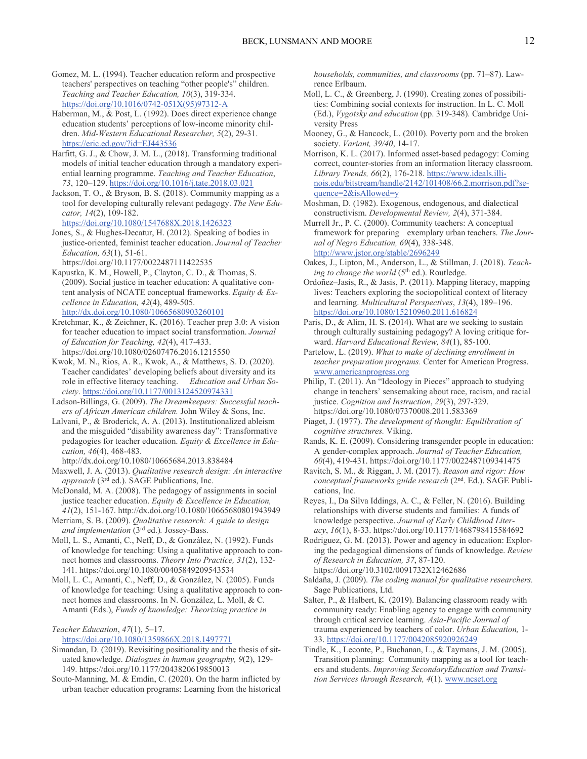- https://doi.org/10.1016/0742-051X(95)97312-A Gomez, M. L. (1994). Teacher education reform and prospective teachers' perspectives on teaching "other people's" children. *Teaching and Teacher Education, 10*(3), 319-334.
- Ha[berman, M., & Post, L. \(1992\). Does direct expe](https://doi.org/10.1016/0742-051X(95)97312-A)rience change education students' perceptions of low-income minority children. *Mid-Western Educational Researcher, 5*(2), 29-31. <https://eric.ed.gov/?id=EJ443536><br>Ha[rfitt, G. J., & Chow, J. M. L., \(201](https://eric.ed.gov/?id=EJ443536)8). Transforming traditional
- models of initial teacher education through a mandatory experiential learning programme. *Teaching and Teacher Education*, *<sup>73</sup>*, 120–129.<https://doi.org/10.1016/j.tate.2018.03.021> Jackson, T. O., [& Bryson, B. S. \(2018\). Community mappi](https://doi.org/10.1016/j.tate.2018.03.021)ng as a
- tool for developing culturally relevant pedagogy. *The New Educator, 14*(2), 109-182.

<https://doi.org/10.1080/1547688X.2018.1426323>

- Jones, S., & Hughes-Decatur, H. (2012). Speaking of bodies in justice-oriented, feminist teacher education. *Journal of Teacher Education, 63*(1), 51-61. <https://doi.org/10.1177/0022487111422535>
- Kapustka, K. M., Howell, P., Clayton, C. D., & Thomas, S. (2009). Social justice in teacher education: A qualitative content analysis of NCATE conceptual frameworks. *Equity & Excellence in Education, 42(4), 489-505.*<br>
http://dx.doi.org/10.1080/10665680903260101
- Kr[etchmar, K., & Zeichner, K. \(2016\). Teacher pr](http://dx.doi.org/10.1080/10665680903260101)ep 3.0: A vision for teacher education to impact social transformation. *Journal of Education for Teaching, 42*(4), 417-433. <https://doi.org/10.1080/02607476.2016.1215550>
- role in effective literacy teaching. *Education and Urban So-*Kwok, M. N., Rios, A. R., Kwok, A., & Matthews, S. D. (2020). Teacher candidates' developing beliefs about diversity and its *ciety*.<https://doi.org/10.1177/0013124520974331>
- Ladson-Billings, G. (2009). *The Dreamkeepers: Successful teachers of African American children.* John Wiley & Sons, Inc.
- Lalvani, P., & Broderick, A. A. (2013). Institutionalized ableism and the misguided "disability awareness day": Transformative pedagogies for teacher education. *Equity & Excellence in Education, 46*(4), 468-483.
- <http://dx.doi.org/10.1080/10665684.2013.838484>
- Maxwell, J. A. (2013). *Qualitative research design: An interactive approach* (3rd ed.). SAGE Publications, Inc.
- justice teacher education. *Equity & Excellence in Education,*  McDonald, M. A. (2008). The pedagogy of assignments in social *41*(2), 151-167.<http://dx.doi.org/10.1080/10665680801943949>
- Merriam, S. B. (2009). *Qualitative research: A guide to design and implementation* (3rd ed.)*.* Jossey-Bass.
- nect homes and classrooms. *Theory Into Practice, 31*(2), 132- Moll, L. S., Amanti, C., Neff, D., & González, N. (1992). Funds of knowledge for teaching: Using a qualitative approach to con-141. <https://doi.org/10.1080/00405849209543534>
- nect homes and classrooms. In N. González, L. Moll, & C. Moll, L. C., Amanti, C., Neff, D., & González, N. (2005). Funds of knowledge for teaching: Using a qualitative approach to con-Amanti (Eds.), *Funds of knowledge: Theorizing practice in*

## *Teacher Education*, *47*(1), 5–17.

## https://doi.org/10.1080/1359866X.2018.1497771

- Si[mandan, D. \(2019\). Revisiting positionality and th](https://doi.org/10.1080/1359866X.2018.1497771)e thesis of situated knowledge. *Dialogues in human geography, 9*(2), 129- 149. <https://doi.org/10.1177/2043820619850013>
- Souto-Manning, M. & Emdin, C. (2020). On the harm inflicted by urban teacher education programs: Learning from the historical

*households, communities, and classrooms* (pp. 71–87). Lawrence Erlbaum.

- Moll, L. C., & Greenberg, J. (1990). Creating zones of possibilities: Combining social contexts for instruction. In L. C. Moll (Ed.), *Vygotsky and education* (pp. 319-348). Cambridge University Press
- Mooney, G., & Hancock, L. (2010). Poverty porn and the broken society. *Variant, 39/40*, 14-17.
- $queue = 2 & is}$ Allowed=y Morrison, K. L. (2017). Informed asset-based pedagogy: Coming correct, counter-stories from an information literacy classroom. *Library Trends, 66*(2), 176-218.<https://www.ideals.illi>nois.edu/bitstream/handle/2142/101408/66.2.morrison.pdf?se-
- Moshman, D. (1982). Exogenous, endogenous, and dialectical constructivism. *Developmental Review, 2*(4), 371-384.
- framework for preparing exemplary urban teachers. *The Jour*http://www.jstor.org/stable/2696249 Murrell Jr., P. C. (2000). Community teachers: A conceptual *nal of Negro Education, 69*(4), 338-348.
- Oa[kes, J., Lipton, M., Anderson, L., & S](http://www.jstor.org/stable/2696249)tillman, J. (2018). *Teach*ing to change the world (5<sup>th</sup> ed.). Routledge.
- Ordoñez–Jasis, R., & Jasis, P. (2011). Mapping literacy, mapping lives: Teachers exploring the sociopolitical context of literacy and learning. *Multicultural Perspectives*, *13*(4), 189–196.
- Pa[ris, D., & Alim, H. S. \(2014\). What are we seeki](https://doi.org/10.1080/15210960.2011.616824)ng to sustain through culturally sustaining pedagogy? A loving critique forward. *Harvard Educational Review, 84*(1), 85-100.
- www.americanprogress.org Partelow, L. (2019). *What to make of declining enrollment in teacher preparation programs.* Center for American Progress.
- Ph[ilip, T. \(2011\). An "Ideology](www.americanprogress.org) in Pieces" approach to studying change in teachers' sensemaking about race, racism, and racial justice. *Cognition and Instruction*, *29*(3), 297-329. <https://doi.org/10.1080/07370008.2011.583369>
- Piaget, J. (1977). *The development of thought: Equilibration of cognitive structures.* Viking.
- Rands, K. E. (2009). Considering transgender people in education: A gender-complex approach. *Journal of Teacher Education, 60*(4), 419-431.<https://doi.org/10.1177/0022487109341475>
- Ravitch, S. M., & Riggan, J. M. (2017). *Reason and rigor: How conceptual frameworks guide research* (2nd. Ed.). SAGE Publications, Inc.
- Reyes, I., Da Silva Iddings, A. C., & Feller, N. (2016). Building relationships with diverse students and families: A funds of knowledge perspective. *Journal of Early Childhood Literacy*, *16*(1), 8-33. <https://doi.org/10.1177/1468798415584692>
- Rodriguez, G. M. (2013). Power and agency in education: Exploring the pedagogical dimensions of funds of knowledge. *Review of Research in Education, 37*, 87-120. <https://doi.org/10.3102/0091732X12462686>
- Saldaña, J. (2009). *The coding manual for qualitative researchers.*  Sage Publications, Ltd.
- trauma experienced by teachers of color. *Urban Education,* 1- Salter, P., & Halbert, K. (2019). Balancing classroom ready with community ready: Enabling agency to engage with community through critical service learning. *Asia-Pacific Journal of*  33. <https://doi.org/10.1177/0042085920926249>
- *tion Services through Research, 4*(1).<www.ncset.org>Tindle, K., Leconte, P., Buchanan, L., & Taymans, J. M. (2005). Transition planning: Community mapping as a tool for teachers and students. *Improving SecondaryEducation and Transi-*